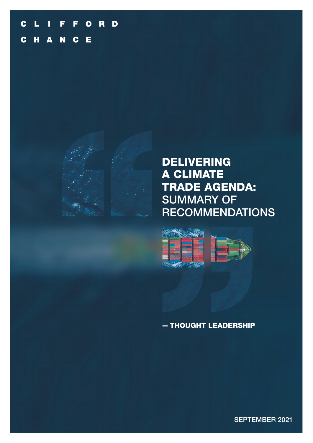#### F. FORD  $\mathbf C$  $\blacksquare$ L C H A N C Е



# **DELIVERING** A CLIMATE TRADE AGENDA: SUMMARY OF RECOMMENDATIONS



## - THOUGHT LEADERSHIP

SEPTEMBER 2021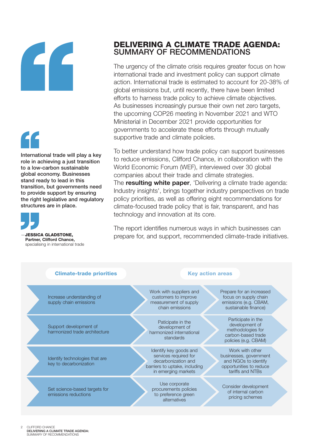

International trade will play a key role in achieving a just transition to a low-carbon sustainable global economy. Businesses stand ready to lead in this transition, but governments need to provide support by ensuring the right legislative and regulatory structures are in place.



**JESSICA GLADSTONE.** Partner, Clifford Chance, specialising in international trade

## DELIVERING A CLIMATE TRADE AGENDA: SUMMARY OF RECOMMENDATIONS

The urgency of the climate crisis requires greater focus on how international trade and investment policy can support climate action. International trade is estimated to account for 20-38% of global emissions but, until recently, there have been limited efforts to harness trade policy to achieve climate objectives. As businesses increasingly pursue their own net zero targets, the upcoming COP26 meeting in November 2021 and WTO Ministerial in December 2021 provide opportunities for governments to accelerate these efforts through mutually supportive trade and climate policies.

To better understand how trade policy can support businesses to reduce emissions, Clifford Chance, in collaboration with the World Economic Forum (WEF), interviewed over 30 global companies about their trade and climate strategies. The **[resulting white paper](https://www.cliffordchance.com/content/dam/cliffordchance/briefings/2021/09/World-Economic-Forum-Delivering-a-Climate-Trade-Agenda.pdf)**, 'Delivering a climate trade agenda: Industry insights', brings together industry perspectives on trade policy priorities, as well as offering eight recommendations for climate-focused trade policy that is fair, transparent, and has technology and innovation at its core.

The report identifies numerous ways in which businesses can prepare for, and support, recommended climate-trade initiatives.

| <b>Climate-trade priorities</b>                          | <b>Key action areas</b>                                                                                                        |                                                                                                                  |
|----------------------------------------------------------|--------------------------------------------------------------------------------------------------------------------------------|------------------------------------------------------------------------------------------------------------------|
| Increase understanding of<br>supply chain emissions      | Work with suppliers and<br>customers to improve<br>measurement of supply<br>chain emissions                                    | Prepare for an increased<br>focus on supply chain<br>emissions (e.g. CBAM,<br>sustainable finance)               |
| Support development of<br>harmonized trade architecture  | Paticipate in the<br>development of<br>harmonized international<br>standards                                                   | Participate in the<br>development of<br>methodologies for<br>carbon-based trade<br>policies (e.g. CBAM)          |
| Identify technologies that are<br>key to decarbonization | Identify key goods and<br>services required for<br>decarbonization and<br>barriers to uptake, including<br>in emerging markets | Work with other<br>businesses, government<br>and NGOs to identify<br>opportunities to reduce<br>tariffs and NTBs |
| Set science-based targets for<br>emissions reductions    | Use corporate<br>procurements policies<br>to preference green<br>alternatives                                                  | Consider development<br>of internal carbon<br>pricing schemes                                                    |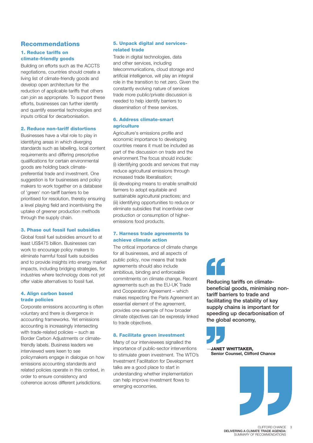## Recommendations

### 1. Reduce tariffs on climate-friendly goods

Building on efforts such as the ACCTS negotiations, countries should create a living list of climate-friendly goods and develop open architecture for the reduction of applicable tariffs that others can join as appropriate. To support these efforts, businesses can further identify and quantify essential technologies and inputs critical for decarbonisation.

#### 2. Reduce non-tariff distortions

Businesses have a vital role to play in identifying areas in which diverging standards such as labelling, local content requirements and differing prescriptive qualifications for certain environmental goods are holding back climatepreferential trade and investment. One suggestion is for businesses and policy makers to work together on a database of 'green' non-tariff barriers to be prioritised for resolution, thereby ensuring a level playing field and incentivising the uptake of greener production methods through the supply chain.

### 3. Phase out fossil fuel subsidies

Global fossil fuel subsidies amount to at least US\$475 billion. Businesses can work to encourage policy makers to eliminate harmful fossil fuels subsidies and to provide insights into energy market impacts, including bridging strategies, for industries where technology does not yet offer viable alternatives to fossil fuel.

#### 4. Align carbon based trade policies

Corporate emissions accounting is often voluntary and there is divergence in accounting frameworks. Yet emissions accounting is increasingly intersecting with trade-related policies – such as Border Carbon Adjustments or climatefriendly labels. Business leaders we interviewed were keen to see policymakers engage in dialogue on how emissions accounting standards and related policies operate in this context, in order to ensure consistency and coherence across different jurisdictions.

### 5. Unpack digital and servicesrelated trade

Trade in digital technologies, data and other services, including telecommunications, cloud storage and artificial intelligence, will play an integral role in the transition to net zero. Given the constantly evolving nature of services trade more public/private discussion is needed to help identify barriers to dissemination of these services.

#### 6. Address climate-smart agriculture

Agriculture's emissions profile and economic importance to developing countries means it must be included as part of the discussion on trade and the environment.The focus should include: (i) identifying goods and services that may reduce agricultural emissions through increased trade liberalisation; (ii) developing means to enable smallhold farmers to adopt equitable and sustainable agricultural practices; and (iii) identifying opportunities to reduce or eliminate subsidies that incentivise over production or consumption of higheremissions food products.

### 7. Harness trade agreements to achieve climate action

The critical importance of climate change for all businesses, and all aspects of public policy, now means that trade agreements should also include ambitious, binding and enforceable commitments on climate change. Recent agreements such as the EU-UK Trade and Cooperation Agreement – which makes respecting the Paris Agreement an essential element of the agreement, provides one example of how broader climate objectives can be expressly linked to trade objectives.

#### 8. Facilitate green investment

Many of our interviewees signalled the importance of public-sector interventions to stimulate green investment. The WTO's Investment Facilitation for Development talks are a good place to start in understanding whether implementation can help improve investment flows to emerging economies.

Reducing tariffs on climatebeneficial goods, minimising nontariff barriers to trade and facilitating the stability of key supply chains is important for speeding up decarbonisation of the global economy.



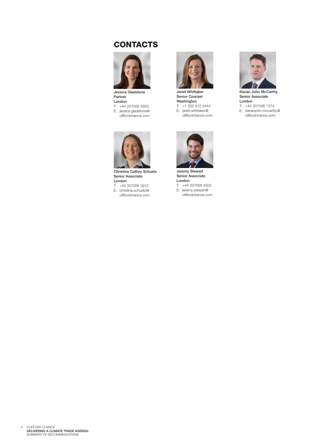## **CONTACTS**



Jessica Gladstone Partner London T: +44 207006 5953 E: jessica.gladstone@ cliffordchance.com



Janet Whittaker Senior Counsel Washington T: +1 202 912 5444 E: janet.whittaker@ cliffordchance.com



Kieran John McCarthy Senior Associate London T: +44 207006 1374 E: kieranjohn.mccarthy@ cliffordchance.com



Christina Cathey Schuetz Senior Associate London

T: +44 207006 3912 E: christina.schuetz@

cliffordchance.com



Jeremy Stewart Senior Associate London T: +44 207006 4502 E: jeremy.stewart@

cliffordchance.com